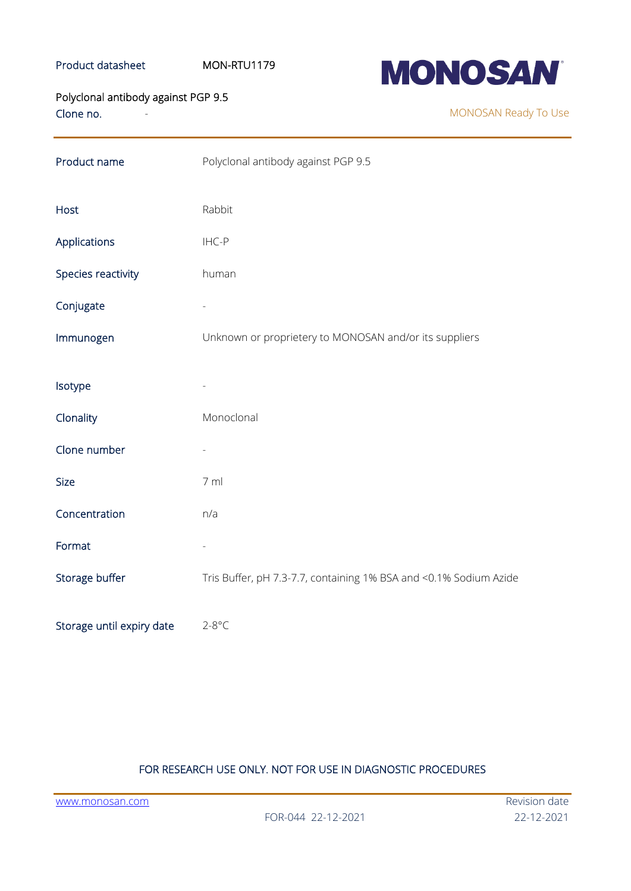# Product datasheet MON-RTU1179



Clone no. Polyclonal antibody against PGP 9.5

MONOSAN Ready To Use

| Product name              | Polyclonal antibody against PGP 9.5                               |
|---------------------------|-------------------------------------------------------------------|
| Host                      | Rabbit                                                            |
| Applications              | IHC-P                                                             |
| Species reactivity        | human                                                             |
| Conjugate                 |                                                                   |
| Immunogen                 | Unknown or proprietery to MONOSAN and/or its suppliers            |
| Isotype                   |                                                                   |
| Clonality                 | Monoclonal                                                        |
| Clone number              |                                                                   |
| Size                      | 7 ml                                                              |
| Concentration             | n/a                                                               |
| Format                    |                                                                   |
| Storage buffer            | Tris Buffer, pH 7.3-7.7, containing 1% BSA and <0.1% Sodium Azide |
| Storage until expiry date | $2 - 8$ °C                                                        |

## FOR RESEARCH USE ONLY. NOT FOR USE IN DIAGNOSTIC PROCEDURES